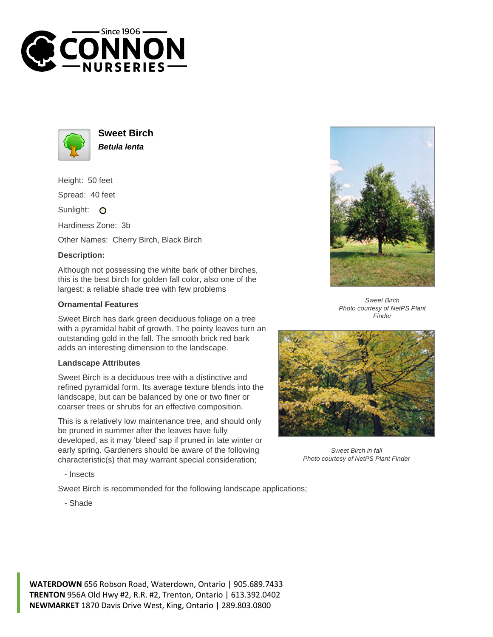



**Sweet Birch Betula lenta**

Height: 50 feet

Spread: 40 feet

Sunlight: O

Hardiness Zone: 3b

Other Names: Cherry Birch, Black Birch

## **Description:**

Although not possessing the white bark of other birches, this is the best birch for golden fall color, also one of the largest; a reliable shade tree with few problems

## **Ornamental Features**

Sweet Birch has dark green deciduous foliage on a tree with a pyramidal habit of growth. The pointy leaves turn an outstanding gold in the fall. The smooth brick red bark adds an interesting dimension to the landscape.

## **Landscape Attributes**

Sweet Birch is a deciduous tree with a distinctive and refined pyramidal form. Its average texture blends into the landscape, but can be balanced by one or two finer or coarser trees or shrubs for an effective composition.

This is a relatively low maintenance tree, and should only be pruned in summer after the leaves have fully developed, as it may 'bleed' sap if pruned in late winter or early spring. Gardeners should be aware of the following characteristic(s) that may warrant special consideration;

- Insects

Sweet Birch is recommended for the following landscape applications;



Sweet Birch Photo courtesy of NetPS Plant Finder



Sweet Birch in fall Photo courtesy of NetPS Plant Finder

- Shade

**WATERDOWN** 656 Robson Road, Waterdown, Ontario | 905.689.7433 **TRENTON** 956A Old Hwy #2, R.R. #2, Trenton, Ontario | 613.392.0402 **NEWMARKET** 1870 Davis Drive West, King, Ontario | 289.803.0800